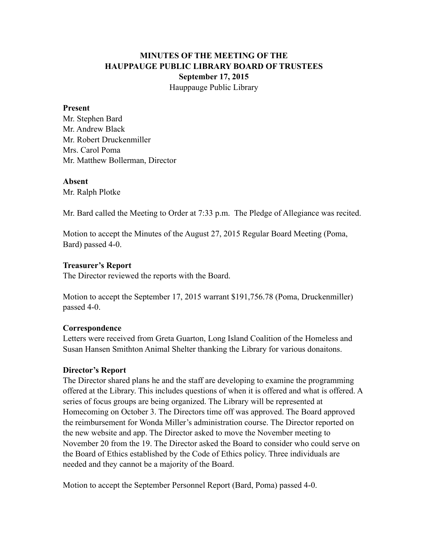# **MINUTES OF THE MEETING OF THE HAUPPAUGE PUBLIC LIBRARY BOARD OF TRUSTEES September 17, 2015** Hauppauge Public Library

#### **Present**

Mr. Stephen Bard Mr. Andrew Black Mr. Robert Druckenmiller Mrs. Carol Poma Mr. Matthew Bollerman, Director

#### **Absent**

Mr. Ralph Plotke

Mr. Bard called the Meeting to Order at 7:33 p.m. The Pledge of Allegiance was recited.

Motion to accept the Minutes of the August 27, 2015 Regular Board Meeting (Poma, Bard) passed 4-0.

### **Treasurer's Report**

The Director reviewed the reports with the Board.

Motion to accept the September 17, 2015 warrant \$191,756.78 (Poma, Druckenmiller) passed 4-0.

### **Correspondence**

Letters were received from Greta Guarton, Long Island Coalition of the Homeless and Susan Hansen Smithton Animal Shelter thanking the Library for various donaitons.

### **Director's Report**

The Director shared plans he and the staff are developing to examine the programming offered at the Library. This includes questions of when it is offered and what is offered. A series of focus groups are being organized. The Library will be represented at Homecoming on October 3. The Directors time off was approved. The Board approved the reimbursement for Wonda Miller's administration course. The Director reported on the new website and app. The Director asked to move the November meeting to November 20 from the 19. The Director asked the Board to consider who could serve on the Board of Ethics established by the Code of Ethics policy. Three individuals are needed and they cannot be a majority of the Board.

Motion to accept the September Personnel Report (Bard, Poma) passed 4-0.